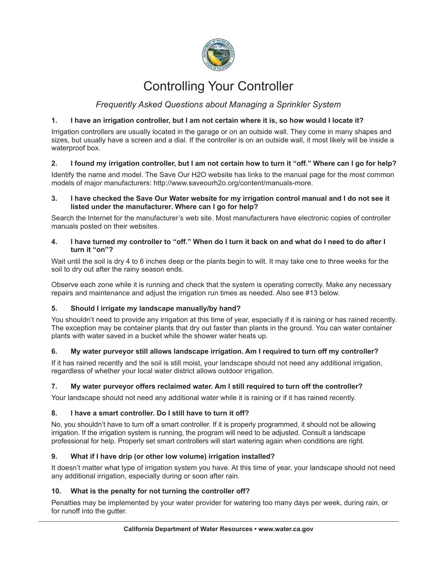

# Controlling Your Controller

# *Frequently Asked Questions about Managing a Sprinkler System*

# **1. I have an irrigation controller, but I am not certain where it is, so how would I locate it?**

Irrigation controllers are usually located in the garage or on an outside wall. They come in many shapes and sizes, but usually have a screen and a dial. If the controller is on an outside wall, it most likely will be inside a waterproof box.

# **2. I found my irrigation controller, but I am not certain how to turn it "off." Where can I go for help?**

Identify the name and model. The Save Our H2O website has links to the manual page for the most common models of major manufacturers: http://www.saveourh2o.org/content/manuals-more.

#### **3. I have checked the Save Our Water website for my irrigation control manual and I do not see it listed under the manufacturer. Where can I go for help?**

Search the Internet for the manufacturer's web site. Most manufacturers have electronic copies of controller manuals posted on their websites.

#### **4. I have turned my controller to "off." When do I turn it back on and what do I need to do after I turn it "on"?**

Wait until the soil is dry 4 to 6 inches deep or the plants begin to wilt. It may take one to three weeks for the soil to dry out after the rainy season ends.

Observe each zone while it is running and check that the system is operating correctly. Make any necessary repairs and maintenance and adjust the irrigation run times as needed. Also see #13 below.

# **5. Should I irrigate my landscape manually/by hand?**

You shouldn't need to provide any irrigation at this time of year, especially if it is raining or has rained recently. The exception may be container plants that dry out faster than plants in the ground. You can water container plants with water saved in a bucket while the shower water heats up.

# **6. My water purveyor still allows landscape irrigation. Am I required to turn off my controller?**

If it has rained recently and the soil is still moist, your landscape should not need any additional irrigation, regardless of whether your local water district allows outdoor irrigation.

# **7. My water purveyor offers reclaimed water. Am I still required to turn off the controller?**

Your landscape should not need any additional water while it is raining or if it has rained recently.

# **8. I have a smart controller. Do I still have to turn it off?**

No, you shouldn't have to turn off a smart controller. If it is properly programmed, it should not be allowing irrigation. If the irrigation system is running, the program will need to be adjusted. Consult a landscape professional for help. Properly set smart controllers will start watering again when conditions are right.

# **9. What if I have drip (or other low volume) irrigation installed?**

It doesn't matter what type of irrigation system you have. At this time of year, your landscape should not need any additional irrigation, especially during or soon after rain.

# **10. What is the penalty for not turning the controller off?**

Penalties may be implemented by your water provider for watering too many days per week, during rain, or for runoff into the gutter.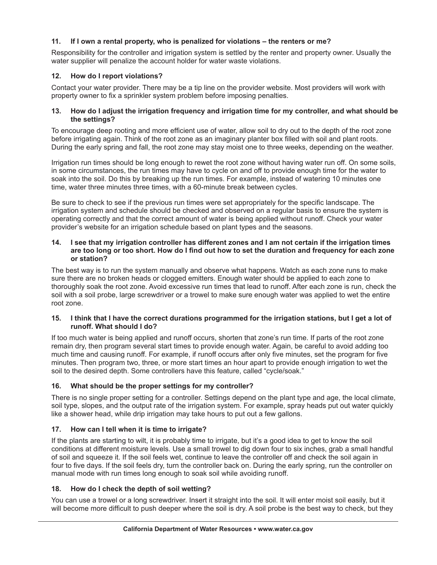# **11. If I own a rental property, who is penalized for violations – the renters or me?**

Responsibility for the controller and irrigation system is settled by the renter and property owner. Usually the water supplier will penalize the account holder for water waste violations.

# **12. How do I report violations?**

Contact your water provider. There may be a tip line on the provider website. Most providers will work with property owner to fix a sprinkler system problem before imposing penalties.

#### **13. How do I adjust the irrigation frequency and irrigation time for my controller, and what should be the settings?**

To encourage deep rooting and more efficient use of water, allow soil to dry out to the depth of the root zone before irrigating again. Think of the root zone as an imaginary planter box filled with soil and plant roots. During the early spring and fall, the root zone may stay moist one to three weeks, depending on the weather.

Irrigation run times should be long enough to rewet the root zone without having water run off. On some soils, in some circumstances, the run times may have to cycle on and off to provide enough time for the water to soak into the soil. Do this by breaking up the run times. For example, instead of watering 10 minutes one time, water three minutes three times, with a 60-minute break between cycles.

Be sure to check to see if the previous run times were set appropriately for the specific landscape. The irrigation system and schedule should be checked and observed on a regular basis to ensure the system is operating correctly and that the correct amount of water is being applied without runoff. Check your water provider's website for an irrigation schedule based on plant types and the seasons.

#### **14. I see that my irrigation controller has different zones and I am not certain if the irrigation times are too long or too short. How do I find out how to set the duration and frequency for each zone or station?**

The best way is to run the system manually and observe what happens. Watch as each zone runs to make sure there are no broken heads or clogged emitters. Enough water should be applied to each zone to thoroughly soak the root zone. Avoid excessive run times that lead to runoff. After each zone is run, check the soil with a soil probe, large screwdriver or a trowel to make sure enough water was applied to wet the entire root zone.

#### **15. I think that I have the correct durations programmed for the irrigation stations, but I get a lot of runoff. What should I do?**

If too much water is being applied and runoff occurs, shorten that zone's run time. If parts of the root zone remain dry, then program several start times to provide enough water. Again, be careful to avoid adding too much time and causing runoff. For example, if runoff occurs after only five minutes, set the program for five minutes. Then program two, three, or more start times an hour apart to provide enough irrigation to wet the soil to the desired depth. Some controllers have this feature, called "cycle/soak."

# **16. What should be the proper settings for my controller?**

There is no single proper setting for a controller. Settings depend on the plant type and age, the local climate, soil type, slopes, and the output rate of the irrigation system. For example, spray heads put out water quickly like a shower head, while drip irrigation may take hours to put out a few gallons.

# **17. How can I tell when it is time to irrigate?**

If the plants are starting to wilt, it is probably time to irrigate, but it's a good idea to get to know the soil conditions at different moisture levels. Use a small trowel to dig down four to six inches, grab a small handful of soil and squeeze it. If the soil feels wet, continue to leave the controller off and check the soil again in four to five days. If the soil feels dry, turn the controller back on. During the early spring, run the controller on manual mode with run times long enough to soak soil while avoiding runoff.

# **18. How do I check the depth of soil wetting?**

You can use a trowel or a long screwdriver. Insert it straight into the soil. It will enter moist soil easily, but it will become more difficult to push deeper where the soil is dry. A soil probe is the best way to check, but they